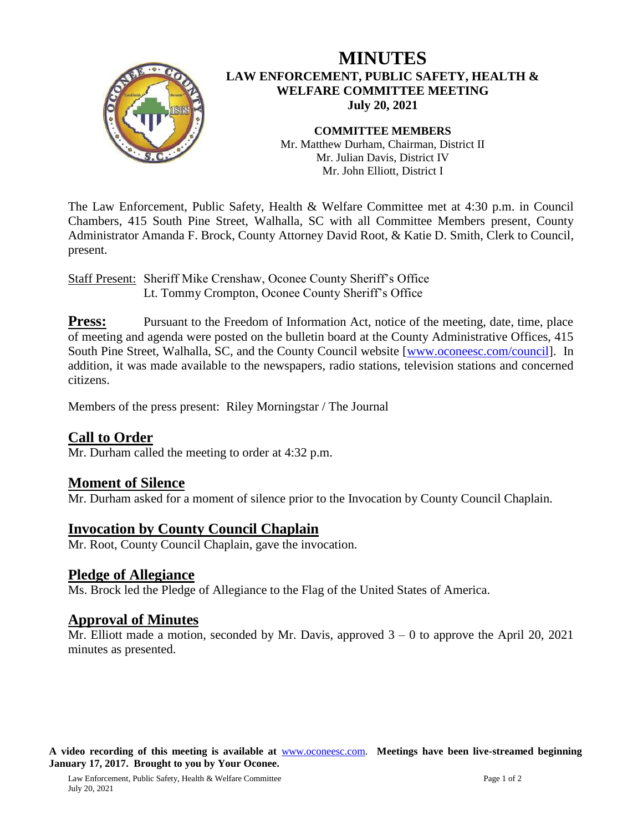

# **MINUTES LAW ENFORCEMENT, PUBLIC SAFETY, HEALTH & WELFARE COMMITTEE MEETING July 20, 2021**

**COMMITTEE MEMBERS** Mr. Matthew Durham, Chairman, District II Mr. Julian Davis, District IV Mr. John Elliott, District I

The Law Enforcement, Public Safety, Health & Welfare Committee met at 4:30 p.m. in Council Chambers, 415 South Pine Street, Walhalla, SC with all Committee Members present, County Administrator Amanda F. Brock, County Attorney David Root, & Katie D. Smith, Clerk to Council, present.

Staff Present: Sheriff Mike Crenshaw, Oconee County Sheriff's Office Lt. Tommy Crompton, Oconee County Sheriff's Office

**Press:** Pursuant to the Freedom of Information Act, notice of the meeting, date, time, place of meeting and agenda were posted on the bulletin board at the County Administrative Offices, 415 South Pine Street, Walhalla, SC, and the County Council website [\[www.oconeesc.com/council\]](http://www.oconeesc.com/council). In addition, it was made available to the newspapers, radio stations, television stations and concerned citizens.

Members of the press present: Riley Morningstar / The Journal

### **Call to Order**

Mr. Durham called the meeting to order at 4:32 p.m.

#### **Moment of Silence**

Mr. Durham asked for a moment of silence prior to the Invocation by County Council Chaplain.

#### **Invocation by County Council Chaplain**

Mr. Root, County Council Chaplain, gave the invocation.

#### **Pledge of Allegiance**

Ms. Brock led the Pledge of Allegiance to the Flag of the United States of America.

#### **Approval of Minutes**

Mr. Elliott made a motion, seconded by Mr. Davis, approved  $3 - 0$  to approve the April 20, 2021 minutes as presented.

**A video recording of this meeting is available at** [www.oconeesc.com.](http://www.oconeesc.com/) **Meetings have been live-streamed beginning January 17, 2017. Brought to you by Your Oconee.**